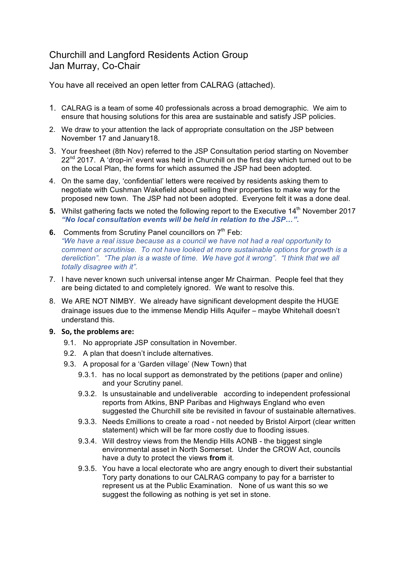## Churchill and Langford Residents Action Group Jan Murray, Co-Chair

You have all received an open letter from CALRAG (attached).

- 1. CALRAG is a team of some 40 professionals across a broad demographic. We aim to ensure that housing solutions for this area are sustainable and satisfy JSP policies.
- 2. We draw to your attention the lack of appropriate consultation on the JSP between November 17 and January18.
- 3. Your freesheet (8th Nov) referred to the JSP Consultation period starting on November  $22<sup>nd</sup>$  2017. A 'drop-in' event was held in Churchill on the first day which turned out to be on the Local Plan, the forms for which assumed the JSP had been adopted.
- 4. On the same day, 'confidential' letters were received by residents asking them to negotiate with Cushman Wakefield about selling their properties to make way for the proposed new town. The JSP had not been adopted. Everyone felt it was a done deal.
- 5. Whilst gathering facts we noted the following report to the Executive 14<sup>th</sup> November 2017 *"No local consultation events will be held in relation to the JSP…"***.**
- **6.** Comments from Scrutiny Panel councillors on 7<sup>th</sup> Feb: *"We have a real issue because as a council we have not had a real opportunity to comment or scrutinise. To not have looked at more sustainable options for growth is a dereliction". "The plan is a waste of time. We have got it wrong". "I think that we all totally disagree with it".*
- 7. I have never known such universal intense anger Mr Chairman. People feel that they are being dictated to and completely ignored. We want to resolve this.
- 8. We ARE NOT NIMBY. We already have significant development despite the HUGE drainage issues due to the immense Mendip Hills Aquifer – maybe Whitehall doesn't understand this.

## **9. So, the problems are:**

- 9.1. No appropriate JSP consultation in November.
- 9.2. A plan that doesn't include alternatives.
- 9.3. A proposal for a 'Garden village' (New Town) that
	- 9.3.1. has no local support as demonstrated by the petitions (paper and online) and your Scrutiny panel.
	- 9.3.2. Is unsustainable and undeliverable according to independent professional reports from Atkins, BNP Paribas and Highways England who even suggested the Churchill site be revisited in favour of sustainable alternatives.
	- 9.3.3. Needs £millions to create a road not needed by Bristol Airport (clear written statement) which will be far more costly due to flooding issues.
	- 9.3.4. Will destroy views from the Mendip Hills AONB the biggest single environmental asset in North Somerset. Under the CROW Act, councils have a duty to protect the views **from** it.
	- 9.3.5. You have a local electorate who are angry enough to divert their substantial Tory party donations to our CALRAG company to pay for a barrister to represent us at the Public Examination. None of us want this so we suggest the following as nothing is yet set in stone.